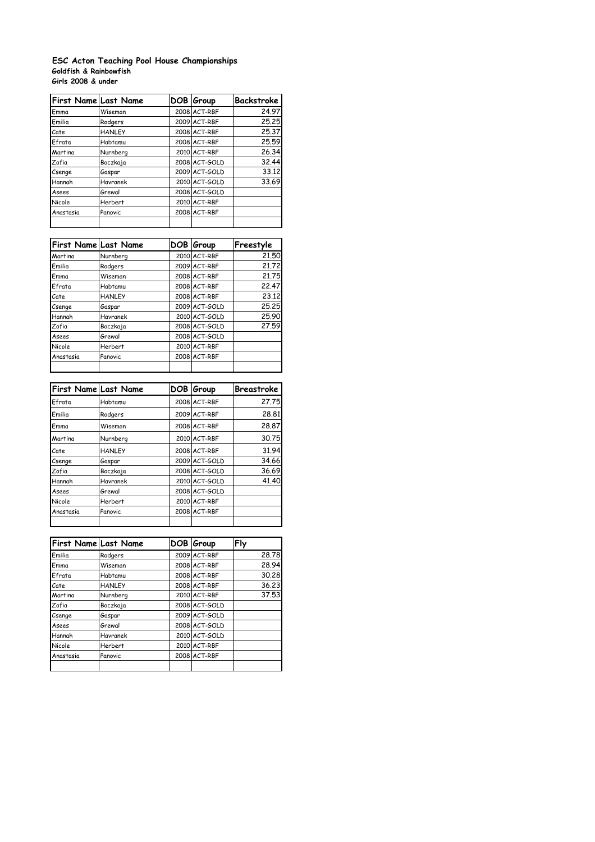## **Goldfish & Rainbowfish Girls 2008 & under ESC Acton Teaching Pool House Championships**

| First Name Last Name |                | DOB Group     | Backstroke |
|----------------------|----------------|---------------|------------|
| Emma                 | Wiseman        | 2008 ACT-RBF  | 24.97      |
| Emilia               | Rodgers        | 2009 ACT-RBF  | 25.25      |
| Cate                 | <b>HANLEY</b>  | 2008 ACT-RBF  | 25.37      |
| Efrata               | Habtamu        | 2008 ACT-RBF  | 25.59      |
| Martina              | Nurnberg       | 2010 ACT-RBF  | 26.34      |
| Zofia                | Boczkaja       | 2008 ACT-GOLD | 32.44      |
| Csenge               | Gaspar         | 2009 ACT-GOLD | 33.12      |
| Hannah               | Havranek       | 2010 ACT-GOLD | 33.69      |
| Asees                | Grewal         | 2008 ACT-GOLD |            |
| Nicole               | <b>Herbert</b> | 2010 ACT-RBF  |            |
| Anastasia            | Panovic        | 2008 ACT-RBF  |            |
|                      |                |               |            |

| <b>First Name Last Name</b> |                | DOB Group     | Freestyle |
|-----------------------------|----------------|---------------|-----------|
| Martina                     | Nurnberg       | 2010 ACT-RBF  | 21.50     |
| Emilia                      | Rodgers        | 2009 ACT-RBF  | 21.72     |
| Emma                        | Wiseman        | 2008 ACT-RBF  | 21.75     |
| Efrata                      | Habtamu        | 2008 ACT-RBF  | 22.47     |
| Cate                        | <b>HANLEY</b>  | 2008 ACT-RBF  | 23.12     |
| Csenge                      | Gaspar         | 2009 ACT-GOLD | 25.25     |
| Hannah                      | Havranek       | 2010 ACT-GOLD | 25.90     |
| Zofia                       | Boczkaja       | 2008 ACT-GOLD | 27.59     |
| Asees                       | Grewal         | 2008 ACT-GOLD |           |
| Nicole                      | <b>Herbert</b> | 2010 ACT-RBF  |           |
| Anastasia                   | Panovic        | 2008 ACT-RBF  |           |
|                             |                |               |           |

| First Name Last Name |                | DOB Group     | Breastroke |
|----------------------|----------------|---------------|------------|
| Efrata               | Habtamu        | 2008 ACT-RBF  | 27.75      |
| Emilia               | Rodgers        | 2009 ACT-RBF  | 28.81      |
| Emma                 | Wiseman        | 2008 ACT-RBF  | 28.87      |
| Martina              | Nurnberg       | 2010 ACT-RBF  | 30.75      |
| Cate                 | <b>HANLEY</b>  | 2008 ACT-RBF  | 31.94      |
| Csenge               | Gaspar         | 2009 ACT-GOLD | 34.66      |
| Zofia                | Boczkaja       | 2008 ACT-GOLD | 36.69      |
| Hannah               | Havranek       | 2010 ACT-GOLD | 41.40      |
| Asees                | Grewal         | 2008 ACT-GOLD |            |
| Nicole               | <b>Herbert</b> | 2010 ACT-RBF  |            |
| Anastasia            | Panovic        | 2008 ACT-RBF  |            |
|                      |                |               |            |

| First Name Last Name |                | DOB Group     | Fly   |
|----------------------|----------------|---------------|-------|
| Emilia               | Rodgers        | 2009 ACT-RBF  | 28.78 |
| Emma                 | Wiseman        | 2008 ACT-RBF  | 28.94 |
| Efrata               | Habtamu        | 2008 ACT-RBF  | 30.28 |
| Cate                 | <b>HANLEY</b>  | 2008 ACT-RBF  | 36.23 |
| Martina              | Nurnberg       | 2010 ACT-RBF  | 37.53 |
| Zofia                | Boczkaja       | 2008 ACT-GOLD |       |
| Csenge               | Gaspar         | 2009 ACT-GOLD |       |
| Asees                | Grewal         | 2008 ACT-GOLD |       |
| Hannah               | Havranek       | 2010 ACT-GOLD |       |
| Nicole               | <b>Herbert</b> | 2010 ACT-RBF  |       |
| Anastasia            | Panovic        | 2008 ACT-RBF  |       |
|                      |                |               |       |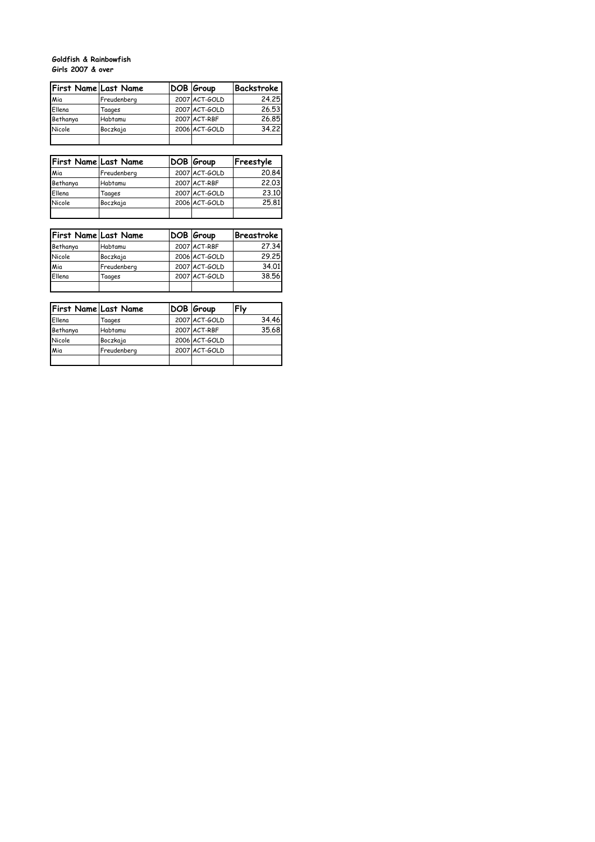## **Goldfish & Rainbowfish Girls 2007 & over**

| <b>First Name Last Name</b> |             | DOB Group     | Backstroke |
|-----------------------------|-------------|---------------|------------|
| Mia                         | Freudenberg | 2007 ACT-GOLD | 24.25      |
| Ellena                      | Taages      | 2007 ACT-GOLD | 26.53      |
| Bethanya                    | Habtamu     | 2007 ACT-RBF  | 26.85      |
| Nicole                      | Boczkaja    | 2006 ACT-GOLD | 34.22      |
|                             |             |               |            |

| <b>First Name Last Name</b> |             | DOB Group     | Freestyle |
|-----------------------------|-------------|---------------|-----------|
| Mia                         | Freudenberg | 2007 ACT-GOLD | 20.84     |
| Bethanya                    | Habtamu     | 2007 ACT-RBF  | 22.03     |
| Ellena                      | Taages      | 2007 ACT-GOLD | 23.10     |
| Nicole                      | Boczkaja    | 2006 ACT-GOLD | 25.81     |
|                             |             |               |           |

| <b>First Name Last Name</b> |             | DOB Group     | <b>Breastroke</b> |
|-----------------------------|-------------|---------------|-------------------|
| Bethanya                    | Habtamu     | 2007 ACT-RBF  | 27.34             |
| Nicole                      | Boczkaja    | 2006 ACT-GOLD | 29.25             |
| Mia                         | Freudenberg | 2007 ACT-GOLD | 34.01             |
| Ellena                      | Taages      | 2007 ACT-GOLD | 38.56             |
|                             |             |               |                   |

| <b>First Name Last Name</b> |             | DOB Group     | Fly   |
|-----------------------------|-------------|---------------|-------|
| Ellena                      | Taages      | 2007 ACT-GOLD | 34.46 |
| Bethanya                    | Habtamu     | 2007 ACT-RBF  | 35.68 |
| Nicole                      | Boczkaja    | 2006 ACT-GOLD |       |
| Mia                         | Freudenberg | 2007 ACT-GOLD |       |
|                             |             |               |       |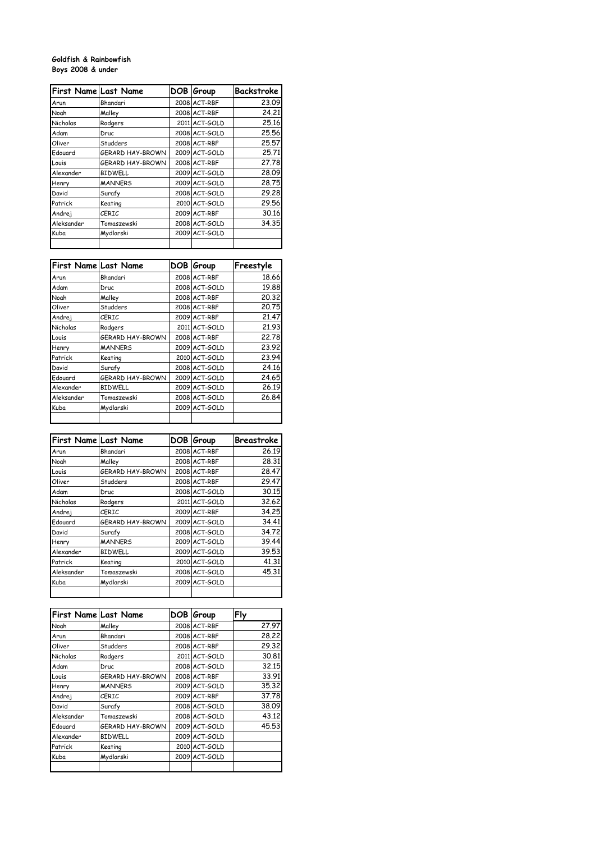## **Goldfish & Rainbowfish Boys 2008 & under**

| <b>First Name Last Name</b> |                  | DOB Group     | <b>Backstroke</b> |
|-----------------------------|------------------|---------------|-------------------|
| Arun                        | Bhandari         | 2008 ACT-RBF  | 23.09             |
| Noah                        | Malley           | 2008 ACT-RBF  | 24.21             |
| Nicholas                    | Rodgers          | 2011 ACT-GOLD | 25.16             |
| Adam                        | Druc             | 2008 ACT-GOLD | 25.56             |
| Oliver                      | Studders         | 2008 ACT-RBF  | 25.57             |
| Edouard                     | GERARD HAY-BROWN | 2009 ACT-GOLD | 25.71             |
| Louis                       | GERARD HAY-BROWN | 2008 ACT-RBF  | 27.78             |
| Alexander                   | <b>BIDWELL</b>   | 2009 ACT-GOLD | 28.09             |
| Henry                       | <b>MANNERS</b>   | 2009 ACT-GOLD | 28.75             |
| David                       | Surafy           | 2008 ACT-GOLD | 29.28             |
| Patrick                     | Keating          | 2010 ACT-GOLD | 29.56             |
| Andrej                      | CERIC            | 2009 ACT-RBF  | 30.16             |
| Aleksander                  | Tomaszewski      | 2008 ACT-GOLD | 34.35             |
| Kuba                        | Mydlarski        | 2009 ACT-GOLD |                   |
|                             |                  |               |                   |

| <b>First Name Last Name</b> |                  | DOB Group     | Freestyle |
|-----------------------------|------------------|---------------|-----------|
| Arun                        | Bhandari         | 2008 ACT-RBF  | 18.66     |
| Adam                        | Druc             | 2008 ACT-GOLD | 19.88     |
| Noah                        | Malley           | 2008 ACT-RBF  | 20.32     |
| Oliver                      | Studders         | 2008 ACT-RBF  | 20.75     |
| Andrej                      | <b>CERIC</b>     | 2009 ACT-RBF  | 21.47     |
| Nicholas                    | Rodgers          | 2011 ACT-GOLD | 21.93     |
| Louis                       | GERARD HAY-BROWN | 2008 ACT-RBF  | 22.78     |
| Henry                       | <b>MANNERS</b>   | 2009 ACT-GOLD | 23.92     |
| Patrick                     | Keating          | 2010 ACT-GOLD | 23.94     |
| David                       | Surafy           | 2008 ACT-GOLD | 24.16     |
| Edouard                     | GERARD HAY-BROWN | 2009 ACT-GOLD | 24.65     |
| Alexander                   | <b>BIDWELL</b>   | 2009 ACT-GOLD | 26.19     |
| Aleksander                  | Tomaszewski      | 2008 ACT-GOLD | 26.84     |
| Kuba                        | Mydlarski        | 2009 ACT-GOLD |           |
|                             |                  |               |           |

| <b>First Name Last Name</b> |                  | DOB Group     | Breastroke |
|-----------------------------|------------------|---------------|------------|
| Arun                        | Bhandari         | 2008 ACT-RBF  | 26.19      |
| Noah                        | Malley           | 2008 ACT-RBF  | 28.31      |
| Louis                       | GERARD HAY-BROWN | 2008 ACT-RBF  | 28.47      |
| Oliver                      | Studders         | 2008 ACT-RBF  | 29.47      |
| Adam                        | Druc             | 2008 ACT-GOLD | 30.15      |
| Nicholas                    | Rodgers          | 2011 ACT-GOLD | 32.62      |
| Andrej                      | CERIC            | 2009 ACT-RBF  | 34.25      |
| Edouard                     | GERARD HAY-BROWN | 2009 ACT-GOLD | 34.41      |
| David                       | Surafy           | 2008 ACT-GOLD | 34.72      |
| Henry                       | <b>MANNERS</b>   | 2009 ACT-GOLD | 39.44      |
| Alexander                   | <b>BIDWELL</b>   | 2009 ACT-GOLD | 39.53      |
| Patrick                     | Keating          | 2010 ACT-GOLD | 41.31      |
| Aleksander                  | Tomaszewski      | 2008 ACT-GOLD | 45.31      |
| Kuba                        | Mydlarski        | 2009 ACT-GOLD |            |
|                             |                  |               |            |

| <b>First Name Last Name</b> |                  | DOB Group     | Fly   |
|-----------------------------|------------------|---------------|-------|
| Noah                        | Malley           | 2008 ACT-RBF  | 27.97 |
| Arun                        | Bhandari         | 2008 ACT-RBF  | 28.22 |
| Oliver                      | Studders         | 2008 ACT-RBF  | 29.32 |
| Nicholas                    | Rodgers          | 2011 ACT-GOLD | 30.81 |
| Adam                        | Druc             | 2008 ACT-GOLD | 32.15 |
| Louis                       | GERARD HAY-BROWN | 2008 ACT-RBF  | 33.91 |
| Henry                       | <b>MANNERS</b>   | 2009 ACT-GOLD | 35.32 |
| Andrej                      | CERIC            | 2009 ACT-RBF  | 37.78 |
| David                       | Surafy           | 2008 ACT-GOLD | 38.09 |
| Aleksander                  | Tomaszewski      | 2008 ACT-GOLD | 43.12 |
| Edouard                     | GERARD HAY-BROWN | 2009 ACT-GOLD | 45.53 |
| Alexander                   | <b>BIDWELL</b>   | 2009 ACT-GOLD |       |
| Patrick                     | Keating          | 2010 ACT-GOLD |       |
| Kuba                        | Mydlarski        | 2009 ACT-GOLD |       |
|                             |                  |               |       |